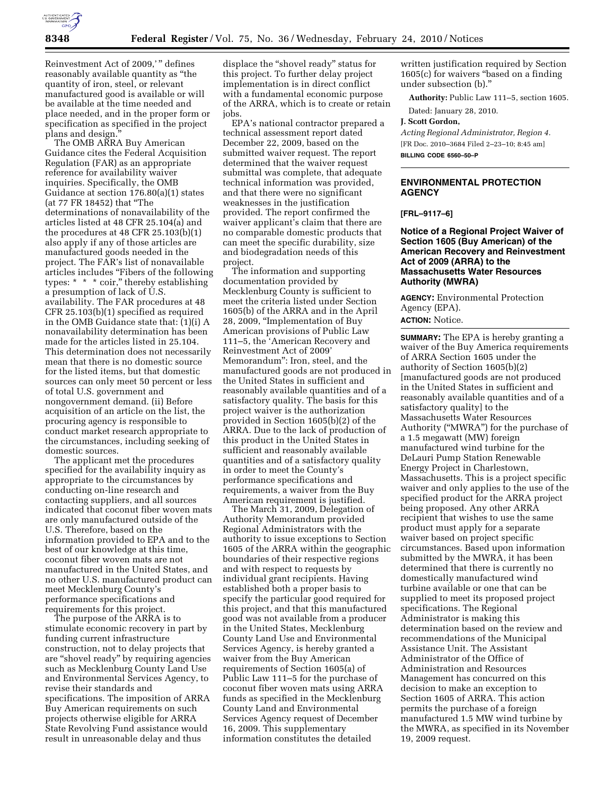

Reinvestment Act of 2009,'" defines reasonably available quantity as ''the quantity of iron, steel, or relevant manufactured good is available or will be available at the time needed and place needed, and in the proper form or specification as specified in the project plans and design.''

The OMB ARRA Buy American Guidance cites the Federal Acquisition Regulation (FAR) as an appropriate reference for availability waiver inquiries. Specifically, the OMB Guidance at section 176.80(a)(1) states (at 77 FR 18452) that ''The determinations of nonavailability of the articles listed at 48 CFR 25.104(a) and the procedures at 48 CFR 25.103(b)(1) also apply if any of those articles are manufactured goods needed in the project. The FAR's list of nonavailable articles includes ''Fibers of the following types: \* \* \* coir,'' thereby establishing a presumption of lack of U.S. availability. The FAR procedures at 48 CFR 25.103(b)(1) specified as required in the OMB Guidance state that: (1)(i) A nonavailability determination has been made for the articles listed in 25.104. This determination does not necessarily mean that there is no domestic source for the listed items, but that domestic sources can only meet 50 percent or less of total U.S. government and nongovernment demand. (ii) Before acquisition of an article on the list, the procuring agency is responsible to conduct market research appropriate to the circumstances, including seeking of domestic sources.

The applicant met the procedures specified for the availability inquiry as appropriate to the circumstances by conducting on-line research and contacting suppliers, and all sources indicated that coconut fiber woven mats are only manufactured outside of the U.S. Therefore, based on the information provided to EPA and to the best of our knowledge at this time, coconut fiber woven mats are not manufactured in the United States, and no other U.S. manufactured product can meet Mecklenburg County's performance specifications and requirements for this project.

The purpose of the ARRA is to stimulate economic recovery in part by funding current infrastructure construction, not to delay projects that are ''shovel ready'' by requiring agencies such as Mecklenburg County Land Use and Environmental Services Agency, to revise their standards and specifications. The imposition of ARRA Buy American requirements on such projects otherwise eligible for ARRA State Revolving Fund assistance would result in unreasonable delay and thus

displace the ''shovel ready'' status for this project. To further delay project implementation is in direct conflict with a fundamental economic purpose of the ARRA, which is to create or retain jobs.

EPA's national contractor prepared a technical assessment report dated December 22, 2009, based on the submitted waiver request. The report determined that the waiver request submittal was complete, that adequate technical information was provided, and that there were no significant weaknesses in the justification provided. The report confirmed the waiver applicant's claim that there are no comparable domestic products that can meet the specific durability, size and biodegradation needs of this project.

The information and supporting documentation provided by Mecklenburg County is sufficient to meet the criteria listed under Section 1605(b) of the ARRA and in the April 28, 2009, ''Implementation of Buy American provisions of Public Law 111–5, the 'American Recovery and Reinvestment Act of 2009' Memorandum'': Iron, steel, and the manufactured goods are not produced in the United States in sufficient and reasonably available quantities and of a satisfactory quality. The basis for this project waiver is the authorization provided in Section 1605(b)(2) of the ARRA. Due to the lack of production of this product in the United States in sufficient and reasonably available quantities and of a satisfactory quality in order to meet the County's performance specifications and requirements, a waiver from the Buy American requirement is justified.

The March 31, 2009, Delegation of Authority Memorandum provided Regional Administrators with the authority to issue exceptions to Section 1605 of the ARRA within the geographic boundaries of their respective regions and with respect to requests by individual grant recipients. Having established both a proper basis to specify the particular good required for this project, and that this manufactured good was not available from a producer in the United States, Mecklenburg County Land Use and Environmental Services Agency, is hereby granted a waiver from the Buy American requirements of Section 1605(a) of Public Law 111–5 for the purchase of coconut fiber woven mats using ARRA funds as specified in the Mecklenburg County Land and Environmental Services Agency request of December 16, 2009. This supplementary information constitutes the detailed

written justification required by Section 1605(c) for waivers ''based on a finding under subsection (b).''

**Authority:** Public Law 111–5, section 1605.

Dated: January 28, 2010.

#### **J. Scott Gordon,**

*Acting Regional Administrator, Region 4.*  [FR Doc. 2010–3684 Filed 2–23–10; 8:45 am] **BILLING CODE 6560–50–P** 

# **ENVIRONMENTAL PROTECTION AGENCY**

**[FRL–9117–6]** 

## **Notice of a Regional Project Waiver of Section 1605 (Buy American) of the American Recovery and Reinvestment Act of 2009 (ARRA) to the Massachusetts Water Resources Authority (MWRA)**

**AGENCY:** Environmental Protection Agency (EPA). **ACTION:** Notice.

**SUMMARY:** The EPA is hereby granting a waiver of the Buy America requirements of ARRA Section 1605 under the authority of Section 1605(b)(2) [manufactured goods are not produced in the United States in sufficient and reasonably available quantities and of a satisfactory quality] to the Massachusetts Water Resources Authority (''MWRA'') for the purchase of a 1.5 megawatt (MW) foreign manufactured wind turbine for the DeLauri Pump Station Renewable Energy Project in Charlestown, Massachusetts. This is a project specific waiver and only applies to the use of the specified product for the ARRA project being proposed. Any other ARRA recipient that wishes to use the same product must apply for a separate waiver based on project specific circumstances. Based upon information submitted by the MWRA, it has been determined that there is currently no domestically manufactured wind turbine available or one that can be supplied to meet its proposed project specifications. The Regional Administrator is making this determination based on the review and recommendations of the Municipal Assistance Unit. The Assistant Administrator of the Office of Administration and Resources Management has concurred on this decision to make an exception to Section 1605 of ARRA. This action permits the purchase of a foreign manufactured 1.5 MW wind turbine by the MWRA, as specified in its November 19, 2009 request.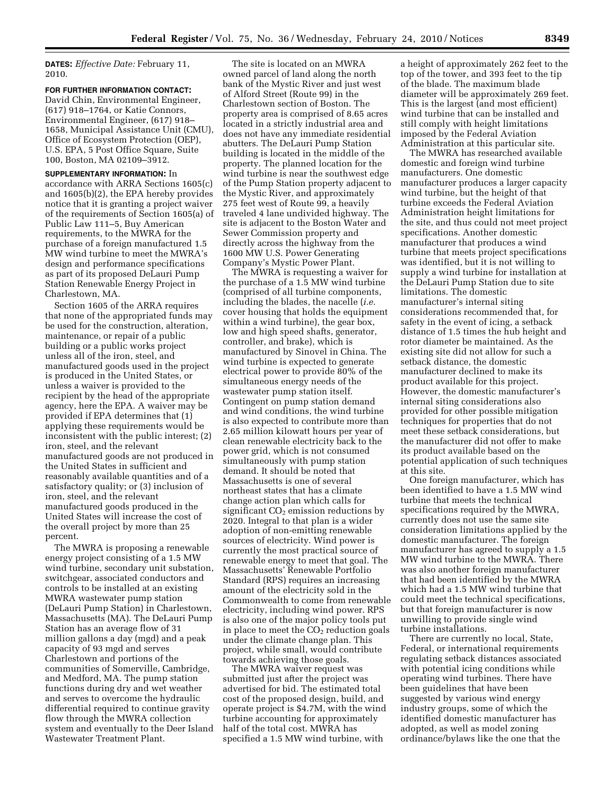**DATES:** *Effective Date:* February 11, 2010.

**FOR FURTHER INFORMATION CONTACT:**  David Chin, Environmental Engineer, (617) 918–1764, or Katie Connors, Environmental Engineer, (617) 918– 1658, Municipal Assistance Unit (CMU), Office of Ecosystem Protection (OEP), U.S. EPA, 5 Post Office Square, Suite 100, Boston, MA 02109–3912.

**SUPPLEMENTARY INFORMATION:** In accordance with ARRA Sections 1605(c) and 1605(b)(2), the EPA hereby provides notice that it is granting a project waiver of the requirements of Section 1605(a) of Public Law 111–5, Buy American requirements, to the MWRA for the purchase of a foreign manufactured 1.5 MW wind turbine to meet the MWRA's design and performance specifications as part of its proposed DeLauri Pump Station Renewable Energy Project in Charlestown, MA.

Section 1605 of the ARRA requires that none of the appropriated funds may be used for the construction, alteration, maintenance, or repair of a public building or a public works project unless all of the iron, steel, and manufactured goods used in the project is produced in the United States, or unless a waiver is provided to the recipient by the head of the appropriate agency, here the EPA. A waiver may be provided if EPA determines that (1) applying these requirements would be inconsistent with the public interest; (2) iron, steel, and the relevant manufactured goods are not produced in the United States in sufficient and reasonably available quantities and of a satisfactory quality; or (3) inclusion of iron, steel, and the relevant manufactured goods produced in the United States will increase the cost of the overall project by more than 25 percent.

The MWRA is proposing a renewable energy project consisting of a 1.5 MW wind turbine, secondary unit substation, switchgear, associated conductors and controls to be installed at an existing MWRA wastewater pump station (DeLauri Pump Station) in Charlestown, Massachusetts (MA). The DeLauri Pump Station has an average flow of 31 million gallons a day (mgd) and a peak capacity of 93 mgd and serves Charlestown and portions of the communities of Somerville, Cambridge, and Medford, MA. The pump station functions during dry and wet weather and serves to overcome the hydraulic differential required to continue gravity flow through the MWRA collection system and eventually to the Deer Island Wastewater Treatment Plant.

The site is located on an MWRA owned parcel of land along the north bank of the Mystic River and just west of Alford Street (Route 99) in the Charlestown section of Boston. The property area is comprised of 8.65 acres located in a strictly industrial area and does not have any immediate residential abutters. The DeLauri Pump Station building is located in the middle of the property. The planned location for the wind turbine is near the southwest edge of the Pump Station property adjacent to the Mystic River, and approximately 275 feet west of Route 99, a heavily traveled 4 lane undivided highway. The site is adjacent to the Boston Water and Sewer Commission property and directly across the highway from the 1600 MW U.S. Power Generating Company's Mystic Power Plant.

The MWRA is requesting a waiver for the purchase of a 1.5 MW wind turbine (comprised of all turbine components, including the blades, the nacelle (*i.e.*  cover housing that holds the equipment within a wind turbine), the gear box, low and high speed shafts, generator, controller, and brake), which is manufactured by Sinovel in China. The wind turbine is expected to generate electrical power to provide 80% of the simultaneous energy needs of the wastewater pump station itself. Contingent on pump station demand and wind conditions, the wind turbine is also expected to contribute more than 2.65 million kilowatt hours per year of clean renewable electricity back to the power grid, which is not consumed simultaneously with pump station demand. It should be noted that Massachusetts is one of several northeast states that has a climate change action plan which calls for significant  $CO<sub>2</sub>$  emission reductions by 2020. Integral to that plan is a wider adoption of non-emitting renewable sources of electricity. Wind power is currently the most practical source of renewable energy to meet that goal. The Massachusetts' Renewable Portfolio Standard (RPS) requires an increasing amount of the electricity sold in the Commonwealth to come from renewable electricity, including wind power. RPS is also one of the major policy tools put in place to meet the  $CO<sub>2</sub>$  reduction goals under the climate change plan. This project, while small, would contribute towards achieving those goals.

The MWRA waiver request was submitted just after the project was advertised for bid. The estimated total cost of the proposed design, build, and operate project is \$4.7M, with the wind turbine accounting for approximately half of the total cost. MWRA has specified a 1.5 MW wind turbine, with

a height of approximately 262 feet to the top of the tower, and 393 feet to the tip of the blade. The maximum blade diameter will be approximately 269 feet. This is the largest (and most efficient) wind turbine that can be installed and still comply with height limitations imposed by the Federal Aviation Administration at this particular site.

The MWRA has researched available domestic and foreign wind turbine manufacturers. One domestic manufacturer produces a larger capacity wind turbine, but the height of that turbine exceeds the Federal Aviation Administration height limitations for the site, and thus could not meet project specifications. Another domestic manufacturer that produces a wind turbine that meets project specifications was identified, but it is not willing to supply a wind turbine for installation at the DeLauri Pump Station due to site limitations. The domestic manufacturer's internal siting considerations recommended that, for safety in the event of icing, a setback distance of 1.5 times the hub height and rotor diameter be maintained. As the existing site did not allow for such a setback distance, the domestic manufacturer declined to make its product available for this project. However, the domestic manufacturer's internal siting considerations also provided for other possible mitigation techniques for properties that do not meet these setback considerations, but the manufacturer did not offer to make its product available based on the potential application of such techniques at this site.

One foreign manufacturer, which has been identified to have a 1.5 MW wind turbine that meets the technical specifications required by the MWRA, currently does not use the same site consideration limitations applied by the domestic manufacturer. The foreign manufacturer has agreed to supply a 1.5 MW wind turbine to the MWRA. There was also another foreign manufacturer that had been identified by the MWRA which had a 1.5 MW wind turbine that could meet the technical specifications, but that foreign manufacturer is now unwilling to provide single wind turbine installations.

There are currently no local, State, Federal, or international requirements regulating setback distances associated with potential icing conditions while operating wind turbines. There have been guidelines that have been suggested by various wind energy industry groups, some of which the identified domestic manufacturer has adopted, as well as model zoning ordinance/bylaws like the one that the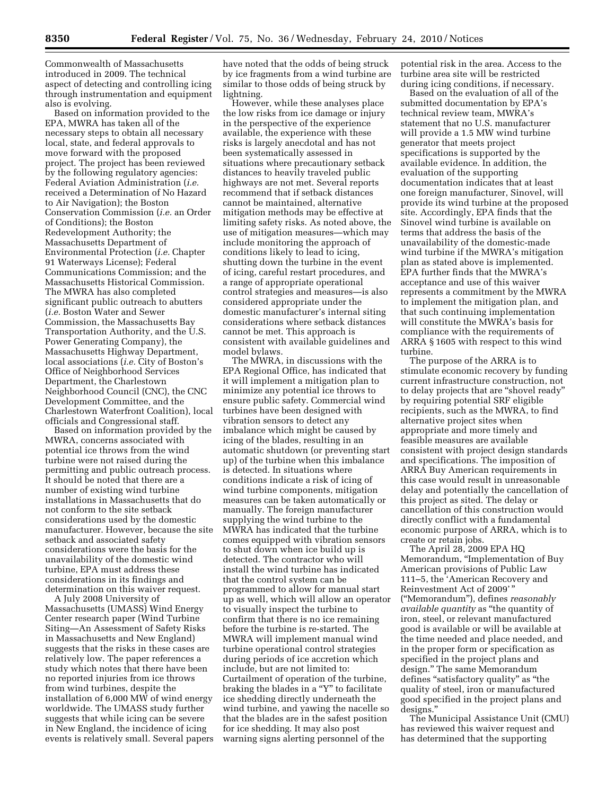Commonwealth of Massachusetts introduced in 2009. The technical aspect of detecting and controlling icing through instrumentation and equipment also is evolving.

Based on information provided to the EPA, MWRA has taken all of the necessary steps to obtain all necessary local, state, and federal approvals to move forward with the proposed project. The project has been reviewed by the following regulatory agencies: Federal Aviation Administration (*i.e.*  received a Determination of No Hazard to Air Navigation); the Boston Conservation Commission (*i.e.* an Order of Conditions); the Boston Redevelopment Authority; the Massachusetts Department of Environmental Protection (*i.e.* Chapter 91 Waterways License); Federal Communications Commission; and the Massachusetts Historical Commission. The MWRA has also completed significant public outreach to abutters (*i.e.* Boston Water and Sewer Commission, the Massachusetts Bay Transportation Authority, and the U.S. Power Generating Company), the Massachusetts Highway Department, local associations (*i.e.* City of Boston's Office of Neighborhood Services Department, the Charlestown Neighborhood Council (CNC), the CNC Development Committee, and the Charlestown Waterfront Coalition), local officials and Congressional staff.

Based on information provided by the MWRA, concerns associated with potential ice throws from the wind turbine were not raised during the permitting and public outreach process. It should be noted that there are a number of existing wind turbine installations in Massachusetts that do not conform to the site setback considerations used by the domestic manufacturer. However, because the site setback and associated safety considerations were the basis for the unavailability of the domestic wind turbine, EPA must address these considerations in its findings and determination on this waiver request.

A July 2008 University of Massachusetts (UMASS) Wind Energy Center research paper (Wind Turbine Siting—An Assessment of Safety Risks in Massachusetts and New England) suggests that the risks in these cases are relatively low. The paper references a study which notes that there have been no reported injuries from ice throws from wind turbines, despite the installation of 6,000 MW of wind energy worldwide. The UMASS study further suggests that while icing can be severe in New England, the incidence of icing events is relatively small. Several papers

have noted that the odds of being struck by ice fragments from a wind turbine are similar to those odds of being struck by lightning.

However, while these analyses place the low risks from ice damage or injury in the perspective of the experience available, the experience with these risks is largely anecdotal and has not been systematically assessed in situations where precautionary setback distances to heavily traveled public highways are not met. Several reports recommend that if setback distances cannot be maintained, alternative mitigation methods may be effective at limiting safety risks. As noted above, the use of mitigation measures—which may include monitoring the approach of conditions likely to lead to icing, shutting down the turbine in the event of icing, careful restart procedures, and a range of appropriate operational control strategies and measures—is also considered appropriate under the domestic manufacturer's internal siting considerations where setback distances cannot be met. This approach is consistent with available guidelines and model bylaws.

The MWRA, in discussions with the EPA Regional Office, has indicated that it will implement a mitigation plan to minimize any potential ice throws to ensure public safety. Commercial wind turbines have been designed with vibration sensors to detect any imbalance which might be caused by icing of the blades, resulting in an automatic shutdown (or preventing start up) of the turbine when this imbalance is detected. In situations where conditions indicate a risk of icing of wind turbine components, mitigation measures can be taken automatically or manually. The foreign manufacturer supplying the wind turbine to the MWRA has indicated that the turbine comes equipped with vibration sensors to shut down when ice build up is detected. The contractor who will install the wind turbine has indicated that the control system can be programmed to allow for manual start up as well, which will allow an operator to visually inspect the turbine to confirm that there is no ice remaining before the turbine is re-started. The MWRA will implement manual wind turbine operational control strategies during periods of ice accretion which include, but are not limited to: Curtailment of operation of the turbine, braking the blades in a "Y" to facilitate ice shedding directly underneath the wind turbine, and yawing the nacelle so that the blades are in the safest position for ice shedding. It may also post warning signs alerting personnel of the

potential risk in the area. Access to the turbine area site will be restricted during icing conditions, if necessary.

Based on the evaluation of all of the submitted documentation by EPA's technical review team, MWRA's statement that no U.S. manufacturer will provide a 1.5 MW wind turbine generator that meets project specifications is supported by the available evidence. In addition, the evaluation of the supporting documentation indicates that at least one foreign manufacturer, Sinovel, will provide its wind turbine at the proposed site. Accordingly, EPA finds that the Sinovel wind turbine is available on terms that address the basis of the unavailability of the domestic-made wind turbine if the MWRA's mitigation plan as stated above is implemented. EPA further finds that the MWRA's acceptance and use of this waiver represents a commitment by the MWRA to implement the mitigation plan, and that such continuing implementation will constitute the MWRA's basis for compliance with the requirements of ARRA § 1605 with respect to this wind turbine.

The purpose of the ARRA is to stimulate economic recovery by funding current infrastructure construction, not to delay projects that are "shovel ready" by requiring potential SRF eligible recipients, such as the MWRA, to find alternative project sites when appropriate and more timely and feasible measures are available consistent with project design standards and specifications. The imposition of ARRA Buy American requirements in this case would result in unreasonable delay and potentially the cancellation of this project as sited. The delay or cancellation of this construction would directly conflict with a fundamental economic purpose of ARRA, which is to create or retain jobs.

The April 28, 2009 EPA HQ Memorandum, ''Implementation of Buy American provisions of Public Law 111–5, the 'American Recovery and Reinvestment Act of 2009' '' (''Memorandum''), defines *reasonably available quantity* as ''the quantity of iron, steel, or relevant manufactured good is available or will be available at the time needed and place needed, and in the proper form or specification as specified in the project plans and design.'' The same Memorandum defines "satisfactory quality" as "the quality of steel, iron or manufactured good specified in the project plans and designs.''

The Municipal Assistance Unit (CMU) has reviewed this waiver request and has determined that the supporting